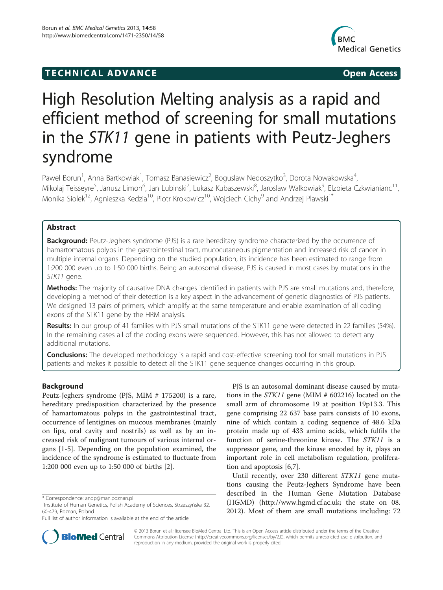## **TECHNICAL ADVANCE CONSUMING ACCESS**



# High Resolution Melting analysis as a rapid and efficient method of screening for small mutations in the STK11 gene in patients with Peutz-Jeghers syndrome

Pawel Borun<sup>1</sup>, Anna Bartkowiak<sup>1</sup>, Tomasz Banasiewicz<sup>2</sup>, Boguslaw Nedoszytko<sup>3</sup>, Dorota Nowakowska<sup>4</sup> , Mikolaj Teisseyre<sup>5</sup>, Janusz Limon<sup>6</sup>, Jan Lubinski<sup>7</sup>, Lukasz Kubaszewski<sup>8</sup>, Jaroslaw Walkowiak<sup>9</sup>, Elzbieta Czkwianianc<sup>11</sup>, Monika Siolek<sup>12</sup>, Agnieszka Kedzia<sup>10</sup>, Piotr Krokowicz<sup>10</sup>, Wojciech Cichy<sup>9</sup> and Andrzej Plawski<sup>1\*</sup>

## Abstract

**Background:** Peutz-Jeghers syndrome (PJS) is a rare hereditary syndrome characterized by the occurrence of hamartomatous polyps in the gastrointestinal tract, mucocutaneous pigmentation and increased risk of cancer in multiple internal organs. Depending on the studied population, its incidence has been estimated to range from 1:200 000 even up to 1:50 000 births. Being an autosomal disease, PJS is caused in most cases by mutations in the STK11 gene.

Methods: The majority of causative DNA changes identified in patients with PJS are small mutations and, therefore, developing a method of their detection is a key aspect in the advancement of genetic diagnostics of PJS patients. We designed 13 pairs of primers, which amplify at the same temperature and enable examination of all coding exons of the STK11 gene by the HRM analysis.

Results: In our group of 41 families with PJS small mutations of the STK11 gene were detected in 22 families (54%). In the remaining cases all of the coding exons were sequenced. However, this has not allowed to detect any additional mutations.

Conclusions: The developed methodology is a rapid and cost-effective screening tool for small mutations in PJS patients and makes it possible to detect all the STK11 gene sequence changes occurring in this group.

## Background

Peutz-Jeghers syndrome (PJS, MIM # 175200) is a rare, hereditary predisposition characterized by the presence of hamartomatous polyps in the gastrointestinal tract, occurrence of lentigines on mucous membranes (mainly on lips, oral cavity and nostrils) as well as by an increased risk of malignant tumours of various internal organs [\[1-5](#page-6-0)]. Depending on the population examined, the incidence of the syndrome is estimated to fluctuate from 1:200 000 even up to 1:50 000 of births [[2\]](#page-6-0).

PJS is an autosomal dominant disease caused by mutations in the STK11 gene (MIM # 602216) located on the small arm of chromosome 19 at position 19p13.3. This gene comprising 22 637 base pairs consists of 10 exons, nine of which contain a coding sequence of 48.6 kDa protein made up of 433 amino acids, which fulfils the function of serine-threonine kinase. The STK11 is a suppressor gene, and the kinase encoded by it, plays an important role in cell metabolism regulation, proliferation and apoptosis [\[6,7](#page-6-0)].

Until recently, over 230 different STK11 gene mutations causing the Peutz-Jeghers Syndrome have been described in the Human Gene Mutation Database (HGMD) ([http://www.hgmd.cf.ac.uk;](http://www.hgmd.cf.ac.uk/) the state on 08. 2012). Most of them are small mutations including: 72



© 2013 Borun et al.; licensee BioMed Central Ltd. This is an Open Access article distributed under the terms of the Creative Commons Attribution License [\(http://creativecommons.org/licenses/by/2.0\)](http://creativecommons.org/licenses/by/2.0), which permits unrestricted use, distribution, and reproduction in any medium, provided the original work is properly cited.

<sup>\*</sup> Correspondence: [andp@man.poznan.pl](mailto:andp@man.poznan.pl) <sup>1</sup>

<sup>&</sup>lt;sup>1</sup>Institute of Human Genetics, Polish Academy of Sciences, Strzeszyńska 32, 60-479, Poznan, Poland

Full list of author information is available at the end of the article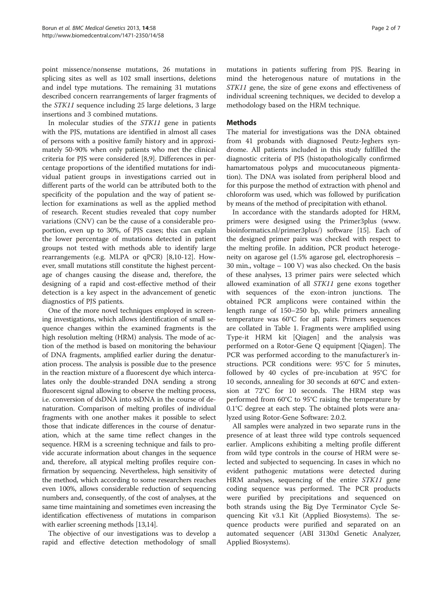point missence/nonsense mutations, 26 mutations in splicing sites as well as 102 small insertions, deletions and indel type mutations. The remaining 31 mutations described concern rearrangements of larger fragments of the STK11 sequence including 25 large deletions, 3 large insertions and 3 combined mutations.

In molecular studies of the STK11 gene in patients with the PJS, mutations are identified in almost all cases of persons with a positive family history and in approximately 50-90% when only patients who met the clinical criteria for PJS were considered [\[8,9](#page-6-0)]. Differences in percentage proportions of the identified mutations for individual patient groups in investigations carried out in different parts of the world can be attributed both to the specificity of the population and the way of patient selection for examinations as well as the applied method of research. Recent studies revealed that copy number variations (CNV) can be the cause of a considerable proportion, even up to 30%, of PJS cases; this can explain the lower percentage of mutations detected in patient groups not tested with methods able to identify large rearrangements (e.g. MLPA or qPCR) [[8,10-12](#page-6-0)]. However, small mutations still constitute the highest percentage of changes causing the disease and, therefore, the designing of a rapid and cost-effective method of their detection is a key aspect in the advancement of genetic diagnostics of PJS patients.

One of the more novel techniques employed in screening investigations, which allows identification of small sequence changes within the examined fragments is the high resolution melting (HRM) analysis. The mode of action of the method is based on monitoring the behaviour of DNA fragments, amplified earlier during the denaturation process. The analysis is possible due to the presence in the reaction mixture of a fluorescent dye which intercalates only the double-stranded DNA sending a strong fluorescent signal allowing to observe the melting process, i.e. conversion of dsDNA into ssDNA in the course of denaturation. Comparison of melting profiles of individual fragments with one another makes it possible to select those that indicate differences in the course of denaturation, which at the same time reflect changes in the sequence. HRM is a screening technique and fails to provide accurate information about changes in the sequence and, therefore, all atypical melting profiles require confirmation by sequencing. Nevertheless, high sensitivity of the method, which according to some researchers reaches even 100%, allows considerable reduction of sequencing numbers and, consequently, of the cost of analyses, at the same time maintaining and sometimes even increasing the identification effectiveness of mutations in comparison with earlier screening methods [\[13,14\]](#page-6-0).

The objective of our investigations was to develop a rapid and effective detection methodology of small

mutations in patients suffering from PJS. Bearing in mind the heterogenous nature of mutations in the STK11 gene, the size of gene exons and effectiveness of individual screening techniques, we decided to develop a methodology based on the HRM technique.

## Methods

The material for investigations was the DNA obtained from 41 probands with diagnosed Peutz-Jeghers syndrome. All patients included in this study fulfilled the diagnostic criteria of PJS (histopathologically confirmed hamartomatous polyps and mucocutaneous pigmentation). The DNA was isolated from peripheral blood and for this purpose the method of extraction with phenol and chloroform was used, which was followed by purification by means of the method of precipitation with ethanol.

In accordance with the standards adopted for HRM, primers were designed using the Primer3plus ([www.](http://www.bioinformatics.nl/primer3plus/) [bioinformatics.nl/primer3plus/](http://www.bioinformatics.nl/primer3plus/)) software [\[15](#page-6-0)]. Each of the designed primer pairs was checked with respect to the melting profile. In addition, PCR product heterogeneity on agarose gel (1.5% agarose gel, electrophoresis – 30 min., voltage – 100 V) was also checked. On the basis of these analyses, 13 primer pairs were selected which allowed examination of all STK11 gene exons together with sequences of the exon-intron junctions. The obtained PCR amplicons were contained within the length range of 150–250 bp, while primers annealing temperature was 60°C for all pairs. Primers sequences are collated in Table [1](#page-2-0). Fragments were amplified using Type-it HRM kit [Qiagen] and the analysis was performed on a Rotor-Gene Q equipment [Qiagen]. The PCR was performed according to the manufacturer's instructions. PCR conditions were: 95°C for 5 minutes, followed by 40 cycles of pre-incubation at 95°C for 10 seconds, annealing for 30 seconds at 60°C and extension at 72°C for 10 seconds. The HRM step was performed from 60°C to 95°C raising the temperature by 0.1°C degree at each step. The obtained plots were analyzed using Rotor-Gene Software: 2.0.2.

All samples were analyzed in two separate runs in the presence of at least three wild type controls sequenced earlier. Amplicons exhibiting a melting profile different from wild type controls in the course of HRM were selected and subjected to sequencing. In cases in which no evident pathogenic mutations were detected during HRM analyses, sequencing of the entire STK11 gene coding sequence was performed. The PCR products were purified by precipitations and sequenced on both strands using the Big Dye Terminator Cycle Sequencing Kit v3.1 Kit (Applied Biosystems). The sequence products were purified and separated on an automated sequencer (ABI 3130xl Genetic Analyzer, Applied Biosystems).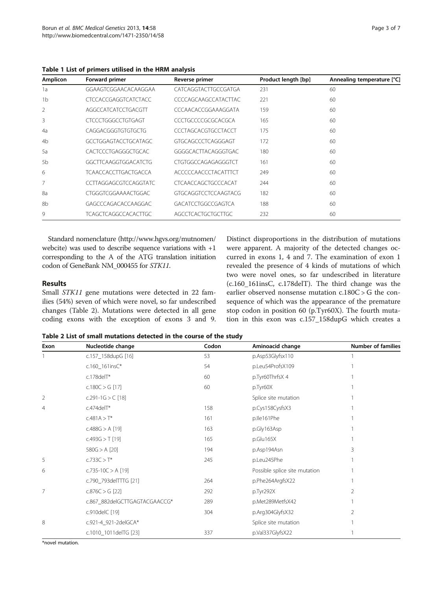<span id="page-2-0"></span>Table 1 List of primers utilised in the HRM analysis

| Amplicon       | Forward primer              | Reverse primer              | Product length [bp] | Annealing temperature [°C] |
|----------------|-----------------------------|-----------------------------|---------------------|----------------------------|
| 1a             | GGAAGTCGGAACACAAGGAA        | CATCAGGTACTTGCCGATGA        | 231                 | 60                         |
| 1b             | <b>CTCCACCGAGGTCATCTACC</b> | CCCCAGCAAGCCATACTTAC        | 221                 | 60                         |
| 2              | AGGCCATCATCCTGACGTT         | CCCAACACCGGAAAGGATA         | 159                 | 60                         |
| 3              | CTCCCTGGGCCTGTGAGT          | CCCTGCCCCGCGCACGCA          | 165                 | 60                         |
| 4a             | CAGGACGGGTGTGTGCTG          | <b>CCCTAGCACGTGCCTACCT</b>  | 175                 | 60                         |
| 4b             | <b>GCCTGGAGTACCTGCATAGC</b> | GTGCAGCCCTCAGGGAGT          | 172                 | 60                         |
| 5a             | CACTCCCTGAGGGCTGCAC         | GGGGCACTTACAGGGTGAC         | 180                 | 60                         |
| 5 <sub>b</sub> | GGCTTCAAGGTGGACATCTG        | CTGTGGCCAGAGAGGGTCT         | 161                 | 60                         |
| 6              | <b>TCAACCACCTTGACTGACCA</b> | <b>ACCCCCAACCCTACATTTCT</b> | 249                 | 60                         |
| 7              | CCTTAGGAGCGTCCAGGTATC       | CTCAACCAGCTGCCCACAT         | 244                 | 60                         |
| 8a             | CTGGGTCGGAAAACTGGAC         | <b>GTGCAGGTCCTCCAAGTACG</b> | 182                 | 60                         |
| 8b             | GAGCCCAGACACCAAGGAC         | GACATCCTGGCCGAGTCA          | 188                 | 60                         |
| 9              | <b>TCAGCTCAGGCCACACTTGC</b> | AGCCTCACTGCTGCTTGC          | 232                 | 60                         |

Standard nomenclature ([http://www.hgvs.org/mutnomen/](http://www.hgvs.org/mutnomen/webcite) [webcite](http://www.hgvs.org/mutnomen/webcite)) was used to describe sequence variations with +1 corresponding to the A of the ATG translation initiation codon of GeneBank NM\_000455 for STK11.

## Results

Small STK11 gene mutations were detected in 22 families (54%) seven of which were novel, so far undescribed changes (Table 2). Mutations were detected in all gene coding exons with the exception of exons 3 and 9. Distinct disproportions in the distribution of mutations were apparent. A majority of the detected changes occurred in exons 1, 4 and 7. The examination of exon 1 revealed the presence of 4 kinds of mutations of which two were novel ones, so far undescribed in literature (c.160\_161insC, c.178delT). The third change was the earlier observed nonsense mutation c.180C > G the consequence of which was the appearance of the premature stop codon in position 60 (p.Tyr60X). The fourth mutation in this exon was c.157\_158dupG which creates a

| Table 2 List of small mutations detected in the course of the study |  |  |  |  |
|---------------------------------------------------------------------|--|--|--|--|
|---------------------------------------------------------------------|--|--|--|--|

| Exon           | Nucleotide change             | Codon | Aminoacid change              | <b>Number of families</b> |
|----------------|-------------------------------|-------|-------------------------------|---------------------------|
|                | c.157_158dupG [16]            | 53    | p.Asp53Glyfsx110              |                           |
|                | c.160_161insC*                | 54    | p.Leu54ProfsX109              |                           |
|                | c.178 $delT*$                 | 60    | p.Tyr60ThrfsX 4               |                           |
|                | c.180C > G [17]               | 60    | p.Tyr60X                      |                           |
| $\overline{2}$ | c.291-1G > $C$ [18]           |       | Splice site mutation          |                           |
| 4              | $c.474$ del $T^*$             | 158   | p.Cys158CysfsX3               |                           |
|                | $c.481A > T^*$                | 161   | p.lle161Phe                   |                           |
|                | $c.488G > A$ [19]             | 163   | p.Gly163Asp                   |                           |
|                | $c.493G > T$ [19]             | 165   | p.Glu165X                     |                           |
|                | $580G > A$ [20]               | 194   | p.Asp194Asn                   | 3                         |
| 5              | $c.733C > T^*$                | 245   | p.Leu245Phe                   |                           |
| 6              | c.735-10C > A [19]            |       | Possible splice site mutation |                           |
|                | c.790_793delTTTG [21]         | 264   | p.Phe264ArgfsX22              |                           |
| $\overline{7}$ | $c.876C > G$ [22]             | 292   | p.Tyr292X                     | 2                         |
|                | c.867_882delGCTTGAGTACGAACCG* | 289   | p.Met289MetfsX42              |                           |
|                | c.910delC [19]                | 304   | p.Arg304GlyfsX32              | 2                         |
| 8              | c.921-4_921-2delGCA*          |       | Splice site mutation          |                           |
|                | c.1010_1011delTG [23]         | 337   | p.Val337GlyfsX22              |                           |

\*novel mutation.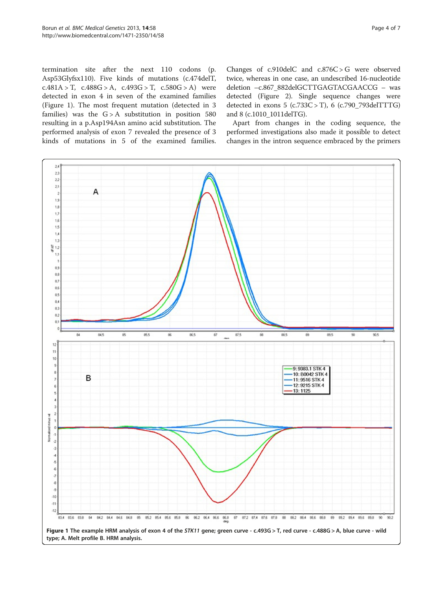termination site after the next 110 codons (p. Asp53Glyfsx110). Five kinds of mutations (c.474delT,  $c.481A > T$ ,  $c.488G > A$ ,  $c.493G > T$ ,  $c.580G > A$ ) were detected in exon 4 in seven of the examined families (Figure 1). The most frequent mutation (detected in 3 families) was the  $G > A$  substitution in position 580 resulting in a p.Asp194Asn amino acid substitution. The performed analysis of exon 7 revealed the presence of 3 kinds of mutations in 5 of the examined families.

Changes of c.910delC and c.876C > G were observed twice, whereas in one case, an undescribed 16-nucleotide deletion –c.867\_882delGCTTGAGTACGAACCG – was detected (Figure [2](#page-4-0)). Single sequence changes were detected in exons  $5$  (c.733C > T), 6 (c.790\_793delTTTG) and 8 (c.1010\_1011delTG).

Apart from changes in the coding sequence, the performed investigations also made it possible to detect changes in the intron sequence embraced by the primers

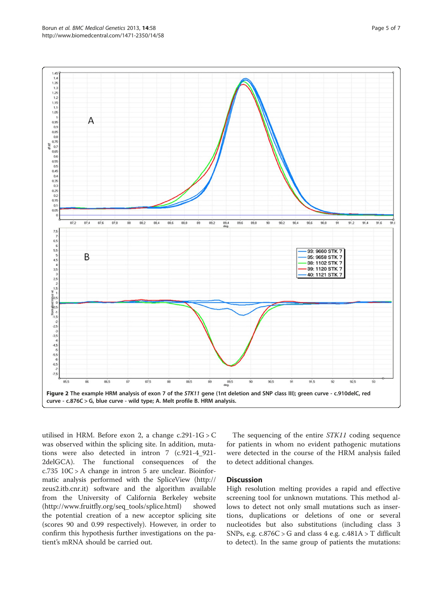<span id="page-4-0"></span>

utilised in HRM. Before exon 2, a change c.291-1G > C was observed within the splicing site. In addition, mutations were also detected in intron 7 (c.921-4\_921- 2delGCA). The functional consequences of the c.735 10C > A change in intron 5 are unclear. Bioinformatic analysis performed with the SpliceView [\(http://](http://zeus2.itb.cnr.it/) [zeus2.itb.cnr.it\)](http://zeus2.itb.cnr.it/) software and the algorithm available from the University of California Berkeley website ([http://www.fruitfly.org/seq\\_tools/splice.html](http://www.fruitfly.org/seq_tools/splice.html)) showed the potential creation of a new acceptor splicing site (scores 90 and 0.99 respectively). However, in order to confirm this hypothesis further investigations on the patient's mRNA should be carried out.

The sequencing of the entire STK11 coding sequence for patients in whom no evident pathogenic mutations were detected in the course of the HRM analysis failed to detect additional changes.

### **Discussion**

High resolution melting provides a rapid and effective screening tool for unknown mutations. This method allows to detect not only small mutations such as insertions, duplications or deletions of one or several nucleotides but also substitutions (including class 3 SNPs, e.g.  $c.876C > G$  and class 4 e.g.  $c.481A > T$  difficult to detect). In the same group of patients the mutations: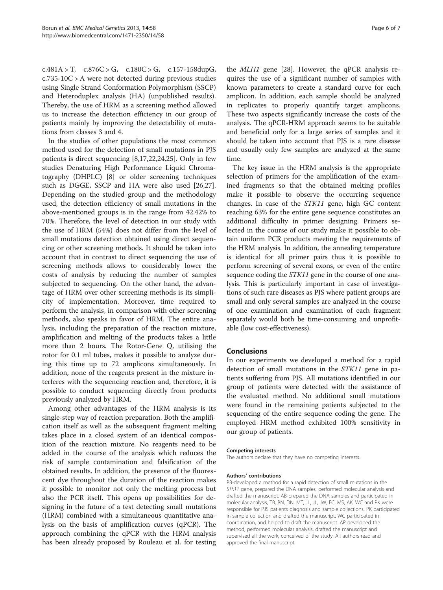$c.481A > T$ ,  $c.876C > G$ ,  $c.180C > G$ ,  $c.157-158dupG$ , c.735-10C > A were not detected during previous studies using Single Strand Conformation Polymorphism (SSCP) and Heteroduplex analysis (HA) (unpublished results). Thereby, the use of HRM as a screening method allowed us to increase the detection efficiency in our group of patients mainly by improving the detectability of mutations from classes 3 and 4.

In the studies of other populations the most common method used for the detection of small mutations in PJS patients is direct sequencing [[8](#page-6-0),[17](#page-6-0),[22](#page-6-0),[24](#page-6-0),[25](#page-6-0)]. Only in few studies Denaturing High Performance Liquid Chromatography (DHPLC) [\[8](#page-6-0)] or older screening techniques such as DGGE, SSCP and HA were also used [\[26,27](#page-6-0)]. Depending on the studied group and the methodology used, the detection efficiency of small mutations in the above-mentioned groups is in the range from 42.42% to 70%. Therefore, the level of detection in our study with the use of HRM (54%) does not differ from the level of small mutations detection obtained using direct sequencing or other screening methods. It should be taken into account that in contrast to direct sequencing the use of screening methods allows to considerably lower the costs of analysis by reducing the number of samples subjected to sequencing. On the other hand, the advantage of HRM over other screening methods is its simplicity of implementation. Moreover, time required to perform the analysis, in comparison with other screening methods, also speaks in favor of HRM. The entire analysis, including the preparation of the reaction mixture, amplification and melting of the products takes a little more than 2 hours. The Rotor-Gene Q, utilising the rotor for 0.1 ml tubes, makes it possible to analyze during this time up to 72 amplicons simultaneously. In addition, none of the reagents present in the mixture interferes with the sequencing reaction and, therefore, it is possible to conduct sequencing directly from products previously analyzed by HRM.

Among other advantages of the HRM analysis is its single-step way of reaction preparation. Both the amplification itself as well as the subsequent fragment melting takes place in a closed system of an identical composition of the reaction mixture. No reagents need to be added in the course of the analysis which reduces the risk of sample contamination and falsification of the obtained results. In addition, the presence of the fluorescent dye throughout the duration of the reaction makes it possible to monitor not only the melting process but also the PCR itself. This opens up possibilities for designing in the future of a test detecting small mutations (HRM) combined with a simultaneous quantitative analysis on the basis of amplification curves (qPCR). The approach combining the qPCR with the HRM analysis has been already proposed by Rouleau et al. for testing

the MLH1 gene [\[28\]](#page-6-0). However, the qPCR analysis requires the use of a significant number of samples with known parameters to create a standard curve for each amplicon. In addition, each sample should be analyzed in replicates to properly quantify target amplicons. These two aspects significantly increase the costs of the analysis. The qPCR-HRM approach seems to be suitable and beneficial only for a large series of samples and it should be taken into account that PJS is a rare disease and usually only few samples are analyzed at the same time.

The key issue in the HRM analysis is the appropriate selection of primers for the amplification of the examined fragments so that the obtained melting profiles make it possible to observe the occurring sequence changes. In case of the STK11 gene, high GC content reaching 63% for the entire gene sequence constitutes an additional difficulty in primer designing. Primers selected in the course of our study make it possible to obtain uniform PCR products meeting the requirements of the HRM analysis. In addition, the annealing temperature is identical for all primer pairs thus it is possible to perform screening of several exons, or even of the entire sequence coding the *STK11* gene in the course of one analysis. This is particularly important in case of investigations of such rare diseases as PJS where patient groups are small and only several samples are analyzed in the course of one examination and examination of each fragment separately would both be time-consuming and unprofitable (low cost-effectiveness).

## Conclusions

In our experiments we developed a method for a rapid detection of small mutations in the STK11 gene in patients suffering from PJS. All mutations identified in our group of patients were detected with the assistance of the evaluated method. No additional small mutations were found in the remaining patients subjected to the sequencing of the entire sequence coding the gene. The employed HRM method exhibited 100% sensitivity in our group of patients.

#### Competing interests

The authors declare that they have no competing interests.

#### Authors' contributions

PB-developed a method for a rapid detection of small mutations in the STK11 gene, prepared the DNA samples, performed molecular analysis and drafted the manuscript. AB-prepared the DNA samples and participated in molecular analysis, TB, BN, DN, MT, JL, JL, JW, EC, MS, AK, WC and PK were responsible for PJS patients diagnosis and sample collections. PK participated in sample collection and drafted the manuscript. WC participated in coordination, and helped to draft the manuscript. AP developed the method, performed molecular analysis, drafted the manuscript and supervised all the work, conceived of the study. All authors read and approved the final manuscript.